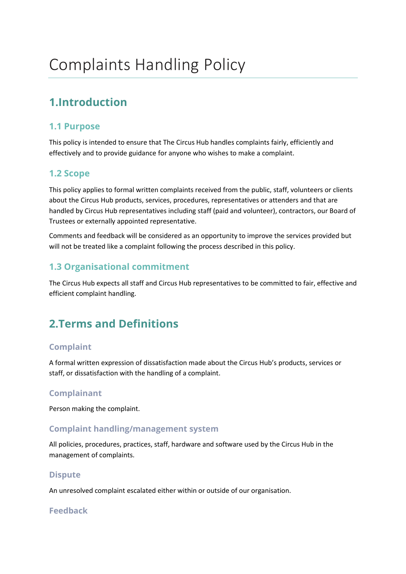# **1.Introduction**

### **1.1 Purpose**

This policy is intended to ensure that The Circus Hub handles complaints fairly, efficiently and effectively and to provide guidance for anyone who wishes to make a complaint.

### **1.2 Scope**

This policy applies to formal written complaints received from the public, staff, volunteers or clients about the Circus Hub products, services, procedures, representatives or attenders and that are handled by Circus Hub representatives including staff (paid and volunteer), contractors, our Board of Trustees or externally appointed representative.

Comments and feedback will be considered as an opportunity to improve the services provided but will not be treated like a complaint following the process described in this policy.

### **1.3 Organisational commitment**

The Circus Hub expects all staff and Circus Hub representatives to be committed to fair, effective and efficient complaint handling.

# **2.Terms and Definitions**

#### **Complaint**

A formal written expression of dissatisfaction made about the Circus Hub's products, services or staff, or dissatisfaction with the handling of a complaint.

#### **Complainant**

Person making the complaint.

#### **Complaint handling/management system**

All policies, procedures, practices, staff, hardware and software used by the Circus Hub in the management of complaints.

#### **Dispute**

An unresolved complaint escalated either within or outside of our organisation.

#### **Feedback**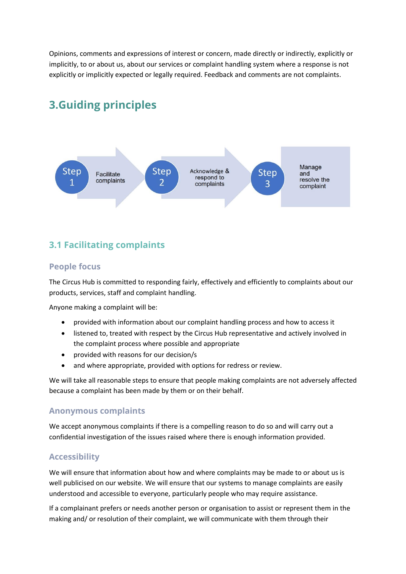Opinions, comments and expressions of interest or concern, made directly or indirectly, explicitly or implicitly, to or about us, about our services or complaint handling system where a response is not explicitly or implicitly expected or legally required. Feedback and comments are not complaints.

# **3.Guiding principles**



### **3.1 Facilitating complaints**

#### **People focus**

The Circus Hub is committed to responding fairly, effectively and efficiently to complaints about our products, services, staff and complaint handling.

Anyone making a complaint will be:

- provided with information about our complaint handling process and how to access it
- listened to, treated with respect by the Circus Hub representative and actively involved in the complaint process where possible and appropriate
- provided with reasons for our decision/s
- and where appropriate, provided with options for redress or review.

We will take all reasonable steps to ensure that people making complaints are not adversely affected because a complaint has been made by them or on their behalf.

#### **Anonymous complaints**

We accept anonymous complaints if there is a compelling reason to do so and will carry out a confidential investigation of the issues raised where there is enough information provided.

#### **Accessibility**

We will ensure that information about how and where complaints may be made to or about us is well publicised on our website. We will ensure that our systems to manage complaints are easily understood and accessible to everyone, particularly people who may require assistance.

If a complainant prefers or needs another person or organisation to assist or represent them in the making and/ or resolution of their complaint, we will communicate with them through their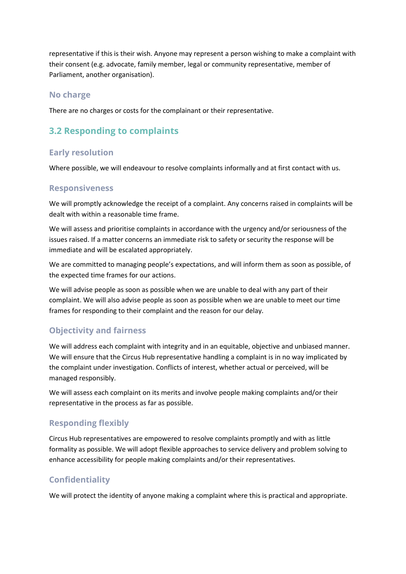representative if this is their wish. Anyone may represent a person wishing to make a complaint with their consent (e.g. advocate, family member, legal or community representative, member of Parliament, another organisation).

#### **No charge**

There are no charges or costs for the complainant or their representative.

### **3.2 Responding to complaints**

#### **Early resolution**

Where possible, we will endeavour to resolve complaints informally and at first contact with us.

#### **Responsiveness**

We will promptly acknowledge the receipt of a complaint. Any concerns raised in complaints will be dealt with within a reasonable time frame.

We will assess and prioritise complaints in accordance with the urgency and/or seriousness of the issues raised. If a matter concerns an immediate risk to safety or security the response will be immediate and will be escalated appropriately.

We are committed to managing people's expectations, and will inform them as soon as possible, of the expected time frames for our actions.

We will advise people as soon as possible when we are unable to deal with any part of their complaint. We will also advise people as soon as possible when we are unable to meet our time frames for responding to their complaint and the reason for our delay.

#### **Objectivity and fairness**

We will address each complaint with integrity and in an equitable, objective and unbiased manner. We will ensure that the Circus Hub representative handling a complaint is in no way implicated by the complaint under investigation. Conflicts of interest, whether actual or perceived, will be managed responsibly.

We will assess each complaint on its merits and involve people making complaints and/or their representative in the process as far as possible.

#### **Responding flexibly**

Circus Hub representatives are empowered to resolve complaints promptly and with as little formality as possible. We will adopt flexible approaches to service delivery and problem solving to enhance accessibility for people making complaints and/or their representatives.

#### **Confidentiality**

We will protect the identity of anyone making a complaint where this is practical and appropriate.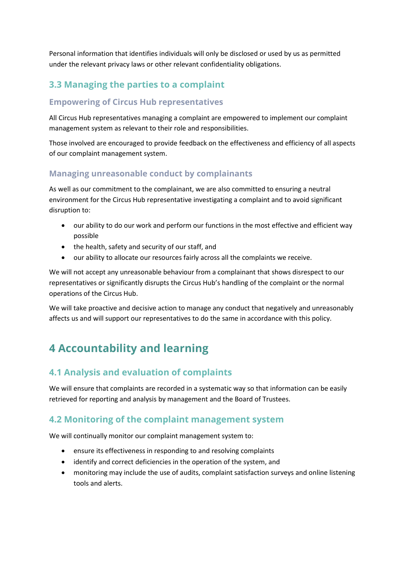Personal information that identifies individuals will only be disclosed or used by us as permitted under the relevant privacy laws or other relevant confidentiality obligations.

### **3.3 Managing the parties to a complaint**

#### **Empowering of Circus Hub representatives**

All Circus Hub representatives managing a complaint are empowered to implement our complaint management system as relevant to their role and responsibilities.

Those involved are encouraged to provide feedback on the effectiveness and efficiency of all aspects of our complaint management system.

#### **Managing unreasonable conduct by complainants**

As well as our commitment to the complainant, we are also committed to ensuring a neutral environment for the Circus Hub representative investigating a complaint and to avoid significant disruption to:

- our ability to do our work and perform our functions in the most effective and efficient way possible
- the health, safety and security of our staff, and
- our ability to allocate our resources fairly across all the complaints we receive.

We will not accept any unreasonable behaviour from a complainant that shows disrespect to our representatives or significantly disrupts the Circus Hub's handling of the complaint or the normal operations of the Circus Hub.

We will take proactive and decisive action to manage any conduct that negatively and unreasonably affects us and will support our representatives to do the same in accordance with this policy.

# **4 Accountability and learning**

### **4.1 Analysis and evaluation of complaints**

We will ensure that complaints are recorded in a systematic way so that information can be easily retrieved for reporting and analysis by management and the Board of Trustees.

#### **4.2 Monitoring of the complaint management system**

We will continually monitor our complaint management system to:

- ensure its effectiveness in responding to and resolving complaints
- identify and correct deficiencies in the operation of the system, and
- monitoring may include the use of audits, complaint satisfaction surveys and online listening tools and alerts.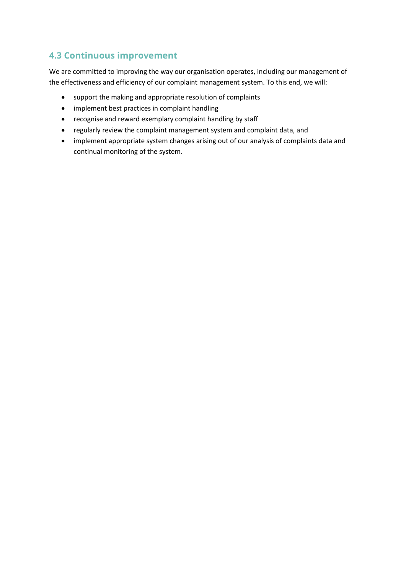## **4.3 Continuous improvement**

We are committed to improving the way our organisation operates, including our management of the effectiveness and efficiency of our complaint management system. To this end, we will:

- support the making and appropriate resolution of complaints
- implement best practices in complaint handling
- recognise and reward exemplary complaint handling by staff
- regularly review the complaint management system and complaint data, and
- implement appropriate system changes arising out of our analysis of complaints data and continual monitoring of the system.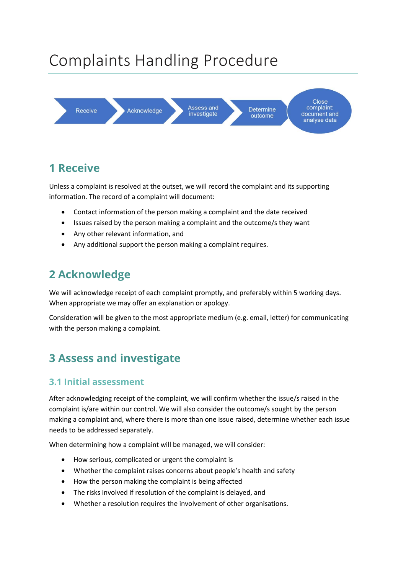# Complaints Handling Procedure



# **1 Receive**

Unless a complaint is resolved at the outset, we will record the complaint and its supporting information. The record of a complaint will document:

- Contact information of the person making a complaint and the date received
- Issues raised by the person making a complaint and the outcome/s they want
- Any other relevant information, and
- Any additional support the person making a complaint requires.

# **2 Acknowledge**

We will acknowledge receipt of each complaint promptly, and preferably within 5 working days. When appropriate we may offer an explanation or apology.

Consideration will be given to the most appropriate medium (e.g. email, letter) for communicating with the person making a complaint.

# **3 Assess and investigate**

#### **3.1 Initial assessment**

After acknowledging receipt of the complaint, we will confirm whether the issue/s raised in the complaint is/are within our control. We will also consider the outcome/s sought by the person making a complaint and, where there is more than one issue raised, determine whether each issue needs to be addressed separately.

When determining how a complaint will be managed, we will consider:

- How serious, complicated or urgent the complaint is
- Whether the complaint raises concerns about people's health and safety
- How the person making the complaint is being affected
- The risks involved if resolution of the complaint is delayed, and
- Whether a resolution requires the involvement of other organisations.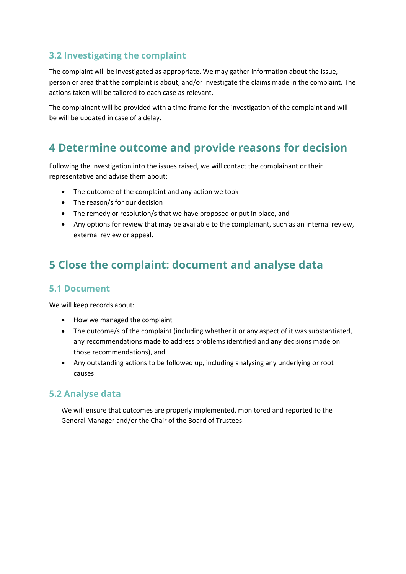### **3.2 Investigating the complaint**

The complaint will be investigated as appropriate. We may gather information about the issue, person or area that the complaint is about, and/or investigate the claims made in the complaint. The actions taken will be tailored to each case as relevant.

The complainant will be provided with a time frame for the investigation of the complaint and will be will be updated in case of a delay.

## **4 Determine outcome and provide reasons for decision**

Following the investigation into the issues raised, we will contact the complainant or their representative and advise them about:

- The outcome of the complaint and any action we took
- The reason/s for our decision
- The remedy or resolution/s that we have proposed or put in place, and
- Any options for review that may be available to the complainant, such as an internal review, external review or appeal.

# **5 Close the complaint: document and analyse data**

#### **5.1 Document**

We will keep records about:

- How we managed the complaint
- The outcome/s of the complaint (including whether it or any aspect of it was substantiated, any recommendations made to address problems identified and any decisions made on those recommendations), and
- Any outstanding actions to be followed up, including analysing any underlying or root causes.

#### **5.2 Analyse data**

We will ensure that outcomes are properly implemented, monitored and reported to the General Manager and/or the Chair of the Board of Trustees.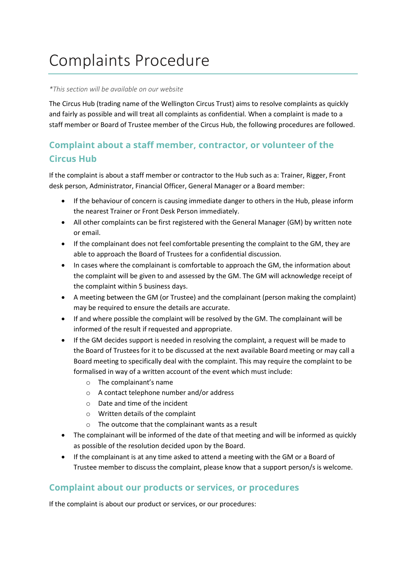# Complaints Procedure

#### *\*This section will be available on our website*

The Circus Hub (trading name of the Wellington Circus Trust) aims to resolve complaints as quickly and fairly as possible and will treat all complaints as confidential. When a complaint is made to a staff member or Board of Trustee member of the Circus Hub, the following procedures are followed.

### **Complaint about a staff member, contractor, or volunteer of the Circus Hub**

If the complaint is about a staff member or contractor to the Hub such as a: Trainer, Rigger, Front desk person, Administrator, Financial Officer, General Manager or a Board member:

- If the behaviour of concern is causing immediate danger to others in the Hub, please inform the nearest Trainer or Front Desk Person immediately.
- All other complaints can be first registered with the General Manager (GM) by written note or email.
- If the complainant does not feel comfortable presenting the complaint to the GM, they are able to approach the Board of Trustees for a confidential discussion.
- In cases where the complainant is comfortable to approach the GM, the information about the complaint will be given to and assessed by the GM. The GM will acknowledge receipt of the complaint within 5 business days.
- A meeting between the GM (or Trustee) and the complainant (person making the complaint) may be required to ensure the details are accurate.
- If and where possible the complaint will be resolved by the GM. The complainant will be informed of the result if requested and appropriate.
- If the GM decides support is needed in resolving the complaint, a request will be made to the Board of Trustees for it to be discussed at the next available Board meeting or may call a Board meeting to specifically deal with the complaint. This may require the complaint to be formalised in way of a written account of the event which must include:
	- o The complainant's name
	- o A contact telephone number and/or address
	- o Date and time of the incident
	- o Written details of the complaint
	- o The outcome that the complainant wants as a result
- The complainant will be informed of the date of that meeting and will be informed as quickly as possible of the resolution decided upon by the Board.
- If the complainant is at any time asked to attend a meeting with the GM or a Board of Trustee member to discuss the complaint, please know that a support person/s is welcome.

### **Complaint about our products or services, or procedures**

If the complaint is about our product or services, or our procedures: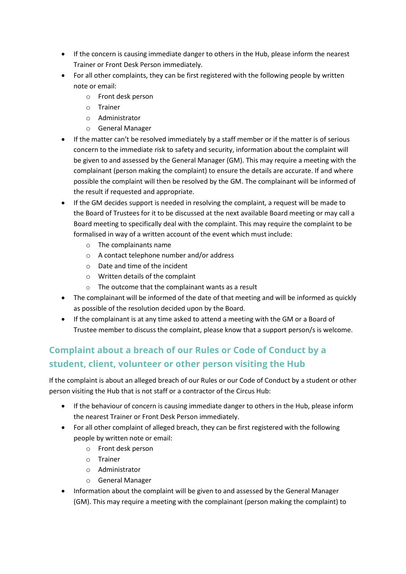- If the concern is causing immediate danger to others in the Hub, please inform the nearest Trainer or Front Desk Person immediately.
- For all other complaints, they can be first registered with the following people by written note or email:
	- o Front desk person
	- o Trainer
	- o Administrator
	- o General Manager
- If the matter can't be resolved immediately by a staff member or if the matter is of serious concern to the immediate risk to safety and security, information about the complaint will be given to and assessed by the General Manager (GM). This may require a meeting with the complainant (person making the complaint) to ensure the details are accurate. If and where possible the complaint will then be resolved by the GM. The complainant will be informed of the result if requested and appropriate.
- If the GM decides support is needed in resolving the complaint, a request will be made to the Board of Trustees for it to be discussed at the next available Board meeting or may call a Board meeting to specifically deal with the complaint. This may require the complaint to be formalised in way of a written account of the event which must include:
	- o The complainants name
	- o A contact telephone number and/or address
	- o Date and time of the incident
	- o Written details of the complaint
	- o The outcome that the complainant wants as a result
- The complainant will be informed of the date of that meeting and will be informed as quickly as possible of the resolution decided upon by the Board.
- If the complainant is at any time asked to attend a meeting with the GM or a Board of Trustee member to discuss the complaint, please know that a support person/s is welcome.

### **Complaint about a breach of our Rules or Code of Conduct by a student, client, volunteer or other person visiting the Hub**

If the complaint is about an alleged breach of our Rules or our Code of Conduct by a student or other person visiting the Hub that is not staff or a contractor of the Circus Hub:

- If the behaviour of concern is causing immediate danger to others in the Hub, please inform the nearest Trainer or Front Desk Person immediately.
- For all other complaint of alleged breach, they can be first registered with the following people by written note or email:
	- o Front desk person
	- o Trainer
	- o Administrator
	- o General Manager
- Information about the complaint will be given to and assessed by the General Manager (GM). This may require a meeting with the complainant (person making the complaint) to